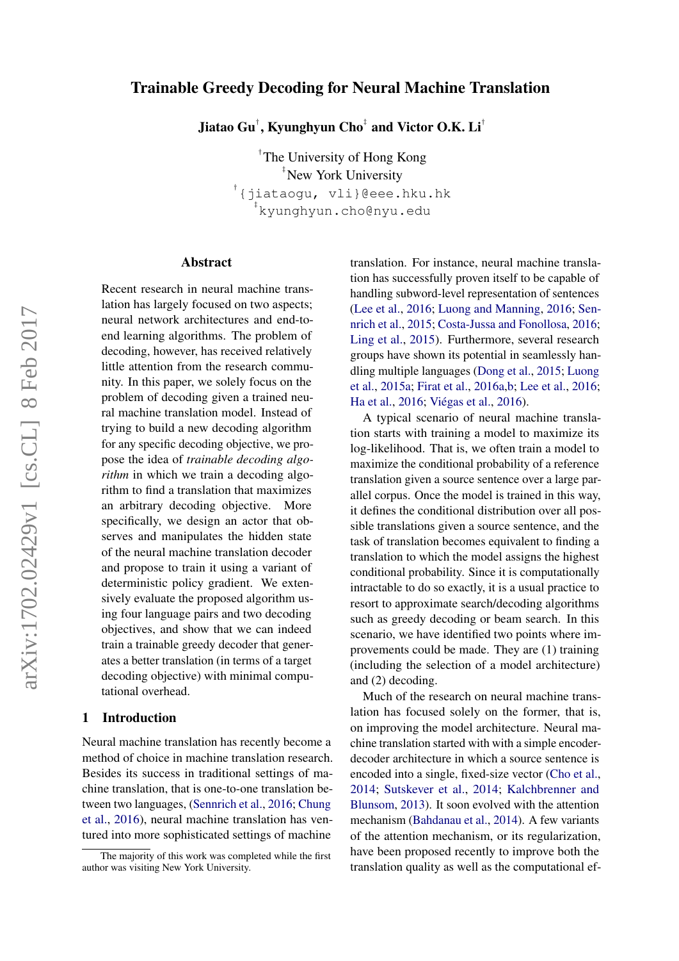# Trainable Greedy Decoding for Neural Machine Translation

Jiatao Gu $^{\dagger}$ , Kyunghyun Cho $^{\dagger}$  and Victor O.K. Li $^{\dagger}$ 

† The University of Hong Kong ‡ New York University <sup>†</sup>{jiataogu, vli}@eee.hku.hk ‡ kyunghyun.cho@nyu.edu

## Abstract

Recent research in neural machine translation has largely focused on two aspects; neural network architectures and end-toend learning algorithms. The problem of decoding, however, has received relatively little attention from the research community. In this paper, we solely focus on the problem of decoding given a trained neural machine translation model. Instead of trying to build a new decoding algorithm for any specific decoding objective, we propose the idea of *trainable decoding algorithm* in which we train a decoding algorithm to find a translation that maximizes an arbitrary decoding objective. More specifically, we design an actor that observes and manipulates the hidden state of the neural machine translation decoder and propose to train it using a variant of deterministic policy gradient. We extensively evaluate the proposed algorithm using four language pairs and two decoding objectives, and show that we can indeed train a trainable greedy decoder that generates a better translation (in terms of a target decoding objective) with minimal computational overhead[.](#page-0-0)

# 1 Introduction

Neural machine translation has recently become a method of choice in machine translation research. Besides its success in traditional settings of machine translation, that is one-to-one translation between two languages, [\(Sennrich et al.,](#page-9-0) [2016;](#page-9-0) [Chung](#page-8-0) [et al.,](#page-8-0) [2016\)](#page-8-0), neural machine translation has ventured into more sophisticated settings of machine

translation. For instance, neural machine translation has successfully proven itself to be capable of handling subword-level representation of sentences [\(Lee et al.,](#page-8-1) [2016;](#page-8-1) [Luong and Manning,](#page-9-1) [2016;](#page-9-1) [Sen](#page-9-2)[nrich et al.,](#page-9-2) [2015;](#page-9-2) [Costa-Jussa and Fonollosa,](#page-8-2) [2016;](#page-8-2) [Ling et al.,](#page-9-3) [2015\)](#page-9-3). Furthermore, several research groups have shown its potential in seamlessly handling multiple languages [\(Dong et al.,](#page-8-3) [2015;](#page-8-3) [Luong](#page-9-4) [et al.,](#page-9-4) [2015a;](#page-9-4) [Firat et al.,](#page-8-4) [2016a](#page-8-4)[,b;](#page-8-5) [Lee et al.,](#page-8-1) [2016;](#page-8-1) [Ha et al.,](#page-8-6) [2016;](#page-8-6) [Viégas et al.,](#page-9-5) [2016\)](#page-9-5).

A typical scenario of neural machine translation starts with training a model to maximize its log-likelihood. That is, we often train a model to maximize the conditional probability of a reference translation given a source sentence over a large parallel corpus. Once the model is trained in this way, it defines the conditional distribution over all possible translations given a source sentence, and the task of translation becomes equivalent to finding a translation to which the model assigns the highest conditional probability. Since it is computationally intractable to do so exactly, it is a usual practice to resort to approximate search/decoding algorithms such as greedy decoding or beam search. In this scenario, we have identified two points where improvements could be made. They are (1) training (including the selection of a model architecture) and (2) decoding.

Much of the research on neural machine translation has focused solely on the former, that is, on improving the model architecture. Neural machine translation started with with a simple encoderdecoder architecture in which a source sentence is encoded into a single, fixed-size vector [\(Cho et al.,](#page-8-7) [2014;](#page-8-7) [Sutskever et al.,](#page-9-6) [2014;](#page-9-6) [Kalchbrenner and](#page-8-8) [Blunsom,](#page-8-8) [2013\)](#page-8-8). It soon evolved with the attention mechanism [\(Bahdanau et al.,](#page-8-9) [2014\)](#page-8-9). A few variants of the attention mechanism, or its regularization, have been proposed recently to improve both the translation quality as well as the computational ef-

<span id="page-0-0"></span>The majority of this work was completed while the first author was visiting New York University.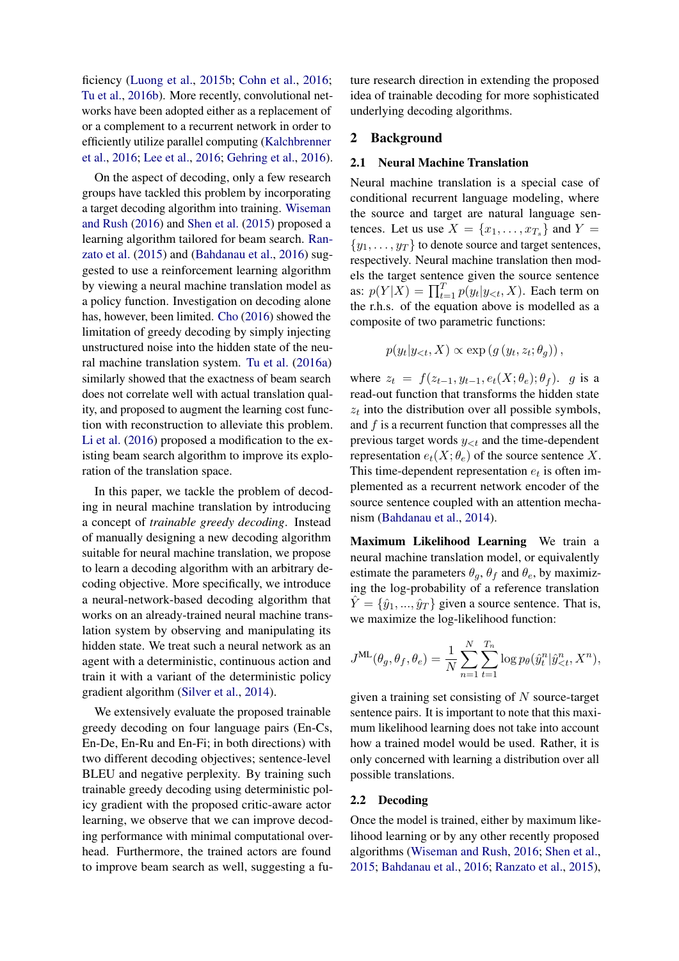ficiency [\(Luong et al.,](#page-9-7) [2015b;](#page-9-7) [Cohn et al.,](#page-8-10) [2016;](#page-8-10) [Tu et al.,](#page-9-8) [2016b\)](#page-9-8). More recently, convolutional networks have been adopted either as a replacement of or a complement to a recurrent network in order to efficiently utilize parallel computing [\(Kalchbrenner](#page-8-11) [et al.,](#page-8-11) [2016;](#page-8-11) [Lee et al.,](#page-8-1) [2016;](#page-8-1) [Gehring et al.,](#page-8-12) [2016\)](#page-8-12).

On the aspect of decoding, only a few research groups have tackled this problem by incorporating a target decoding algorithm into training. [Wiseman](#page-9-9) [and Rush](#page-9-9) [\(2016\)](#page-9-9) and [Shen et al.](#page-9-10) [\(2015\)](#page-9-10) proposed a learning algorithm tailored for beam search. [Ran](#page-9-11)[zato et al.](#page-9-11) [\(2015\)](#page-9-11) and [\(Bahdanau et al.,](#page-8-13) [2016\)](#page-8-13) suggested to use a reinforcement learning algorithm by viewing a neural machine translation model as a policy function. Investigation on decoding alone has, however, been limited. [Cho](#page-8-14) [\(2016\)](#page-8-14) showed the limitation of greedy decoding by simply injecting unstructured noise into the hidden state of the neural machine translation system. [Tu et al.](#page-9-12) [\(2016a\)](#page-9-12) similarly showed that the exactness of beam search does not correlate well with actual translation quality, and proposed to augment the learning cost function with reconstruction to alleviate this problem. [Li et al.](#page-8-15) [\(2016\)](#page-8-15) proposed a modification to the existing beam search algorithm to improve its exploration of the translation space.

In this paper, we tackle the problem of decoding in neural machine translation by introducing a concept of *trainable greedy decoding*. Instead of manually designing a new decoding algorithm suitable for neural machine translation, we propose to learn a decoding algorithm with an arbitrary decoding objective. More specifically, we introduce a neural-network-based decoding algorithm that works on an already-trained neural machine translation system by observing and manipulating its hidden state. We treat such a neural network as an agent with a deterministic, continuous action and train it with a variant of the deterministic policy gradient algorithm [\(Silver et al.,](#page-9-13) [2014\)](#page-9-13).

We extensively evaluate the proposed trainable greedy decoding on four language pairs (En-Cs, En-De, En-Ru and En-Fi; in both directions) with two different decoding objectives; sentence-level BLEU and negative perplexity. By training such trainable greedy decoding using deterministic policy gradient with the proposed critic-aware actor learning, we observe that we can improve decoding performance with minimal computational overhead. Furthermore, the trained actors are found to improve beam search as well, suggesting a future research direction in extending the proposed idea of trainable decoding for more sophisticated underlying decoding algorithms.

## 2 Background

#### 2.1 Neural Machine Translation

Neural machine translation is a special case of conditional recurrent language modeling, where the source and target are natural language sentences. Let us use  $X = \{x_1, \ldots, x_{T_s}\}\$ and  $Y =$  $\{y_1, \ldots, y_T\}$  to denote source and target sentences, respectively. Neural machine translation then models the target sentence given the source sentence as:  $p(Y|X) = \prod_{t=1}^{T} p(y_t|y_{< t}, X)$ . Each term on the r.h.s. of the equation above is modelled as a composite of two parametric functions:

$$
p(y_t|y_{< t}, X) \propto \exp\left(g\left(y_t, z_t; \theta_g\right)\right),
$$

where  $z_t = f(z_{t-1}, y_{t-1}, e_t(X; \theta_e); \theta_f)$ . g is a read-out function that transforms the hidden state  $z_t$  into the distribution over all possible symbols, and  $f$  is a recurrent function that compresses all the previous target words  $y_{< t}$  and the time-dependent representation  $e_t(X; \theta_e)$  of the source sentence X. This time-dependent representation  $e_t$  is often implemented as a recurrent network encoder of the source sentence coupled with an attention mechanism [\(Bahdanau et al.,](#page-8-9) [2014\)](#page-8-9).

Maximum Likelihood Learning We train a neural machine translation model, or equivalently estimate the parameters  $\theta_q$ ,  $\theta_f$  and  $\theta_e$ , by maximizing the log-probability of a reference translation  $\hat{Y} = \{\hat{y}_1, ..., \hat{y}_T\}$  given a source sentence. That is, we maximize the log-likelihood function:

$$
J^{\text{ML}}(\theta_g, \theta_f, \theta_e) = \frac{1}{N} \sum_{n=1}^{N} \sum_{t=1}^{T_n} \log p_{\theta}(\hat{y}_t^n | \hat{y}_{\leq t}^n, X^n),
$$

given a training set consisting of  $N$  source-target sentence pairs. It is important to note that this maximum likelihood learning does not take into account how a trained model would be used. Rather, it is only concerned with learning a distribution over all possible translations.

## 2.2 Decoding

Once the model is trained, either by maximum likelihood learning or by any other recently proposed algorithms [\(Wiseman and Rush,](#page-9-9) [2016;](#page-9-9) [Shen et al.,](#page-9-10) [2015;](#page-9-10) [Bahdanau et al.,](#page-8-13) [2016;](#page-8-13) [Ranzato et al.,](#page-9-11) [2015\)](#page-9-11),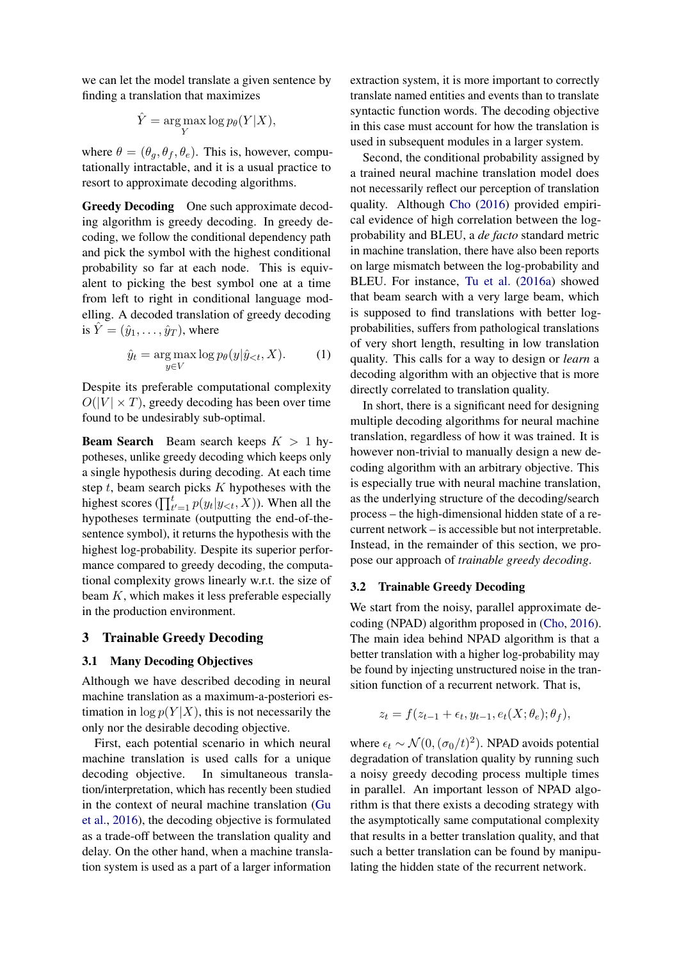we can let the model translate a given sentence by finding a translation that maximizes

$$
\hat{Y} = \underset{Y}{\text{arg}\max} \log p_{\theta}(Y|X),
$$

where  $\theta = (\theta_a, \theta_f, \theta_e)$ . This is, however, computationally intractable, and it is a usual practice to resort to approximate decoding algorithms.

Greedy Decoding One such approximate decoding algorithm is greedy decoding. In greedy decoding, we follow the conditional dependency path and pick the symbol with the highest conditional probability so far at each node. This is equivalent to picking the best symbol one at a time from left to right in conditional language modelling. A decoded translation of greedy decoding is  $\hat{Y} = (\hat{y}_1, \dots, \hat{y}_T)$ , where

$$
\hat{y}_t = \underset{y \in V}{\arg \max} \log p_\theta(y|\hat{y}_{< t}, X). \tag{1}
$$

Despite its preferable computational complexity  $O(|V| \times T)$ , greedy decoding has been over time found to be undesirably sub-optimal.

**Beam Search** Beam search keeps  $K > 1$  hypotheses, unlike greedy decoding which keeps only a single hypothesis during decoding. At each time step  $t$ , beam search picks  $K$  hypotheses with the highest scores  $(\prod_{t'=1}^{t} p(y_t | y_{< t}, X))$ . When all the hypotheses terminate (outputting the end-of-thesentence symbol), it returns the hypothesis with the highest log-probability. Despite its superior performance compared to greedy decoding, the computational complexity grows linearly w.r.t. the size of beam  $K$ , which makes it less preferable especially in the production environment.

## 3 Trainable Greedy Decoding

## 3.1 Many Decoding Objectives

Although we have described decoding in neural machine translation as a maximum-a-posteriori estimation in  $\log p(Y|X)$ , this is not necessarily the only nor the desirable decoding objective.

First, each potential scenario in which neural machine translation is used calls for a unique decoding objective. In simultaneous translation/interpretation, which has recently been studied in the context of neural machine translation [\(Gu](#page-8-16) [et al.,](#page-8-16) [2016\)](#page-8-16), the decoding objective is formulated as a trade-off between the translation quality and delay. On the other hand, when a machine translation system is used as a part of a larger information extraction system, it is more important to correctly translate named entities and events than to translate syntactic function words. The decoding objective in this case must account for how the translation is used in subsequent modules in a larger system.

Second, the conditional probability assigned by a trained neural machine translation model does not necessarily reflect our perception of translation quality. Although [Cho](#page-8-14) [\(2016\)](#page-8-14) provided empirical evidence of high correlation between the logprobability and BLEU, a *de facto* standard metric in machine translation, there have also been reports on large mismatch between the log-probability and BLEU. For instance, [Tu et al.](#page-9-12) [\(2016a\)](#page-9-12) showed that beam search with a very large beam, which is supposed to find translations with better logprobabilities, suffers from pathological translations of very short length, resulting in low translation quality. This calls for a way to design or *learn* a decoding algorithm with an objective that is more directly correlated to translation quality.

In short, there is a significant need for designing multiple decoding algorithms for neural machine translation, regardless of how it was trained. It is however non-trivial to manually design a new decoding algorithm with an arbitrary objective. This is especially true with neural machine translation, as the underlying structure of the decoding/search process – the high-dimensional hidden state of a recurrent network – is accessible but not interpretable. Instead, in the remainder of this section, we propose our approach of *trainable greedy decoding*.

## 3.2 Trainable Greedy Decoding

We start from the noisy, parallel approximate decoding (NPAD) algorithm proposed in [\(Cho,](#page-8-14) [2016\)](#page-8-14). The main idea behind NPAD algorithm is that a better translation with a higher log-probability may be found by injecting unstructured noise in the transition function of a recurrent network. That is,

$$
z_t = f(z_{t-1} + \epsilon_t, y_{t-1}, e_t(X; \theta_e); \theta_f),
$$

where  $\epsilon_t \sim \mathcal{N}(0, (\sigma_0/t)^2)$ . NPAD avoids potential degradation of translation quality by running such a noisy greedy decoding process multiple times in parallel. An important lesson of NPAD algorithm is that there exists a decoding strategy with the asymptotically same computational complexity that results in a better translation quality, and that such a better translation can be found by manipulating the hidden state of the recurrent network.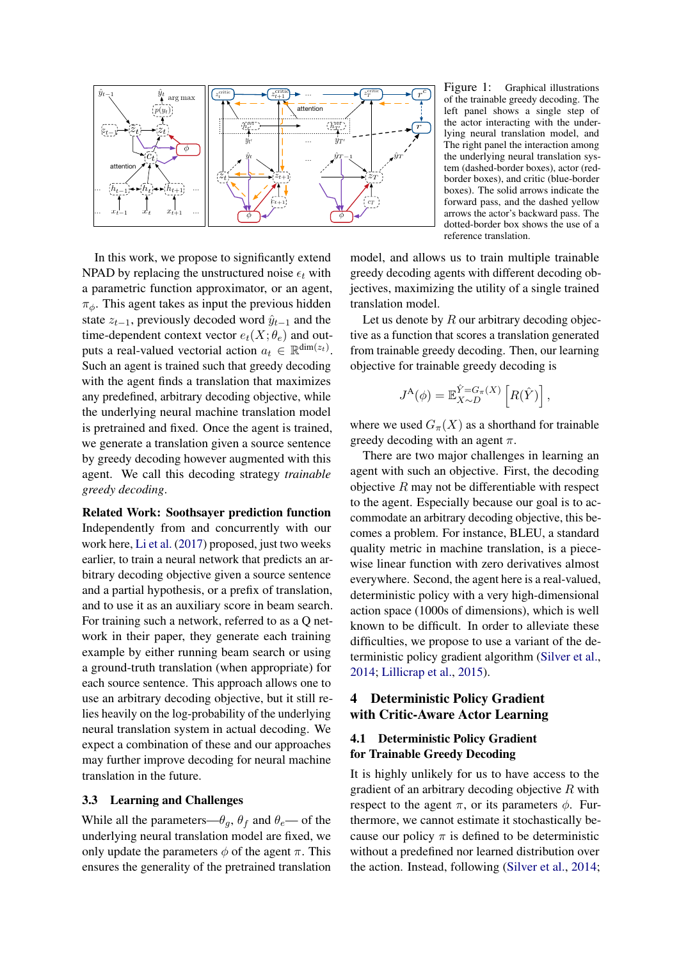

<span id="page-3-0"></span>Figure 1: Graphical illustrations of the trainable greedy decoding. The left panel shows a single step of the actor interacting with the underlying neural translation model, and The right panel the interaction among the underlying neural translation system (dashed-border boxes), actor (redborder boxes), and critic (blue-border boxes). The solid arrows indicate the forward pass, and the dashed yellow arrows the actor's backward pass. The dotted-border box shows the use of a reference translation.

In this work, we propose to significantly extend NPAD by replacing the unstructured noise  $\epsilon_t$  with a parametric function approximator, or an agent,  $\pi_{\phi}$ . This agent takes as input the previous hidden state  $z_{t-1}$ , previously decoded word  $\hat{y}_{t-1}$  and the time-dependent context vector  $e_t(X; \theta_e)$  and outputs a real-valued vectorial action  $a_t \in \mathbb{R}^{\text{dim}(z_t)}$ . Such an agent is trained such that greedy decoding with the agent finds a translation that maximizes any predefined, arbitrary decoding objective, while the underlying neural machine translation model is pretrained and fixed. Once the agent is trained, we generate a translation given a source sentence by greedy decoding however augmented with this agent. We call this decoding strategy *trainable greedy decoding*.

Related Work: Soothsayer prediction function Independently from and concurrently with our work here, [Li et al.](#page-8-17) [\(2017\)](#page-8-17) proposed, just two weeks earlier, to train a neural network that predicts an arbitrary decoding objective given a source sentence and a partial hypothesis, or a prefix of translation, and to use it as an auxiliary score in beam search. For training such a network, referred to as a Q network in their paper, they generate each training example by either running beam search or using a ground-truth translation (when appropriate) for each source sentence. This approach allows one to use an arbitrary decoding objective, but it still relies heavily on the log-probability of the underlying neural translation system in actual decoding. We expect a combination of these and our approaches may further improve decoding for neural machine translation in the future.

## 3.3 Learning and Challenges

While all the parameters— $\theta_q$ ,  $\theta_f$  and  $\theta_e$ — of the underlying neural translation model are fixed, we only update the parameters  $\phi$  of the agent  $\pi$ . This ensures the generality of the pretrained translation

model, and allows us to train multiple trainable greedy decoding agents with different decoding objectives, maximizing the utility of a single trained translation model.

Let us denote by  $R$  our arbitrary decoding objective as a function that scores a translation generated from trainable greedy decoding. Then, our learning objective for trainable greedy decoding is

$$
J^{\mathcal{A}}(\phi) = \mathbb{E}_{X \sim D}^{\hat{Y} = G_{\pi}(X)} \left[ R(\hat{Y}) \right],
$$

where we used  $G_{\pi}(X)$  as a shorthand for trainable greedy decoding with an agent  $\pi$ .

There are two major challenges in learning an agent with such an objective. First, the decoding objective  $R$  may not be differentiable with respect to the agent. Especially because our goal is to accommodate an arbitrary decoding objective, this becomes a problem. For instance, BLEU, a standard quality metric in machine translation, is a piecewise linear function with zero derivatives almost everywhere. Second, the agent here is a real-valued, deterministic policy with a very high-dimensional action space (1000s of dimensions), which is well known to be difficult. In order to alleviate these difficulties, we propose to use a variant of the deterministic policy gradient algorithm [\(Silver et al.,](#page-9-13) [2014;](#page-9-13) [Lillicrap et al.,](#page-8-18) [2015\)](#page-8-18).

# 4 Deterministic Policy Gradient with Critic-Aware Actor Learning

# 4.1 Deterministic Policy Gradient for Trainable Greedy Decoding

It is highly unlikely for us to have access to the gradient of an arbitrary decoding objective  $R$  with respect to the agent  $\pi$ , or its parameters  $\phi$ . Furthermore, we cannot estimate it stochastically because our policy  $\pi$  is defined to be deterministic without a predefined nor learned distribution over the action. Instead, following [\(Silver et al.,](#page-9-13) [2014;](#page-9-13)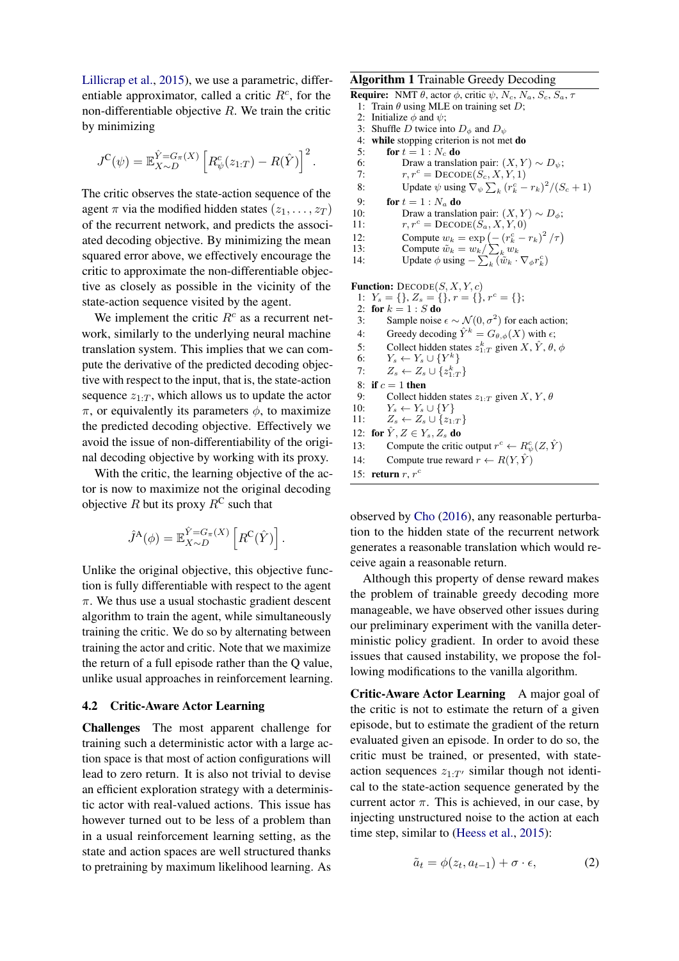[Lillicrap et al.,](#page-8-18) [2015\)](#page-8-18), we use a parametric, differentiable approximator, called a critic  $R<sup>c</sup>$ , for the non-differentiable objective  $R$ . We train the critic by minimizing

$$
J^{\mathcal{C}}(\psi) = \mathbb{E}_{X \sim D}^{\hat{Y} = G_{\pi}(X)} \left[ R^c_{\psi}(z_{1:T}) - R(\hat{Y}) \right]^2.
$$

The critic observes the state-action sequence of the agent  $\pi$  via the modified hidden states  $(z_1, \ldots, z_T)$ of the recurrent network, and predicts the associated decoding objective. By minimizing the mean squared error above, we effectively encourage the critic to approximate the non-differentiable objective as closely as possible in the vicinity of the state-action sequence visited by the agent.

We implement the critic  $R<sup>c</sup>$  as a recurrent network, similarly to the underlying neural machine translation system. This implies that we can compute the derivative of the predicted decoding objective with respect to the input, that is, the state-action sequence  $z_{1:T}$ , which allows us to update the actor  $\pi$ , or equivalently its parameters  $\phi$ , to maximize the predicted decoding objective. Effectively we avoid the issue of non-differentiability of the original decoding objective by working with its proxy.

With the critic, the learning objective of the actor is now to maximize not the original decoding objective R but its proxy  $R^C$  such that

$$
\hat{J}^{\mathbf{A}}(\phi) = \mathbb{E}_{X \sim D}^{\hat{Y} = G_{\pi}(X)} \left[ R^{\mathbf{C}}(\hat{Y}) \right].
$$

Unlike the original objective, this objective function is fully differentiable with respect to the agent  $\pi$ . We thus use a usual stochastic gradient descent algorithm to train the agent, while simultaneously training the critic. We do so by alternating between training the actor and critic. Note that we maximize the return of a full episode rather than the Q value, unlike usual approaches in reinforcement learning.

## 4.2 Critic-Aware Actor Learning

Challenges The most apparent challenge for training such a deterministic actor with a large action space is that most of action configurations will lead to zero return. It is also not trivial to devise an efficient exploration strategy with a deterministic actor with real-valued actions. This issue has however turned out to be less of a problem than in a usual reinforcement learning setting, as the state and action spaces are well structured thanks to pretraining by maximum likelihood learning. As

#### Algorithm 1 Trainable Greedy Decoding

- <span id="page-4-1"></span>**Require:** NMT  $\theta$ , actor  $\phi$ , critic  $\psi$ ,  $N_c$ ,  $N_a$ ,  $S_c$ ,  $S_a$ ,  $\tau$ 1: Train  $\theta$  using MLE on training set D;
- 2: Initialize  $\phi$  and  $\psi$ ;
- 3: Shuffle D twice into  $D_{\phi}$  and  $D_{\psi}$
- 4: while stopping criterion is not met do
- 5: for  $t = 1 : N_c$  do
- 6: Draw a translation pair:  $(X, Y) \sim D_{\psi}$ ;
- 7:  $r, r^c = \text{DecoDE}(S_c, X, Y, 1)$
- 8: Update  $\psi$  using  $\nabla_{\psi} \sum_{k} (r_k^c r_k)^2 / (S_c + 1)$
- 9: **for**  $t = 1 : N_a$  **do**<br>10: Draw a translar
- Draw a translation pair:  $(X, Y) \sim D_{\phi};$
- 11:  $r, r^c = \text{DECODE}(S_a, X, Y, 0)$
- 12: Compute  $w_k = \exp \left(-\left(r_k^c r_k\right)^2 / \tau\right)$
- 13: Compute  $\tilde{w}_k = w_k / \sum_k w_k$ 14: Update  $\phi$  using  $-\sum_{k} \widetilde{(\tilde{w}_k \cdot \nabla_{\phi} r_k^c)}$

**Function:**  $\text{DECODE}(S, X, Y, c)$ 

1:  $Y_s = \{\}, Z_s = \{\}, r = \{\}, r^c = \{\};$ 2: for  $k = 1 : S$  do<br>3: Sample noise 3: Sample noise  $\epsilon \sim \mathcal{N}(0, \sigma^2)$  for each action; 4: Greedy decoding  $\hat{Y}^k = G_{\theta, \phi}(X)$  with  $\epsilon$ ; 5: Collect hidden states  $z_{1:T}^k$  given  $X, \hat{Y}, \theta, \phi$ 6:  $Y_s \leftarrow Y_s \cup \{Y^k\}$ 7:  $Z_s \leftarrow Z_s \cup \{z_{1:T}^k\}$ 8: if  $c = 1$  then<br>9: Collect bi Collect hidden states  $z_{1:T}$  given  $X, Y, \theta$ 10:  $Y_s \leftarrow Y_s \cup \{Y\}$ 11:  $Z_s \leftarrow Z_s \cup \{z_{1:T}\}\$ 12: for  $\hat{Y}, Z \in Y_s, Z_s$  do 13: Compute the critic output  $r^c \leftarrow R^c_{\psi}(Z, \hat{Y})$ 14: Compute true reward  $r \leftarrow R(Y, \hat{Y})$ 15: return  $r, r^c$ 

observed by [Cho](#page-8-14) [\(2016\)](#page-8-14), any reasonable perturbation to the hidden state of the recurrent network generates a reasonable translation which would receive again a reasonable return.

Although this property of dense reward makes the problem of trainable greedy decoding more manageable, we have observed other issues during our preliminary experiment with the vanilla deterministic policy gradient. In order to avoid these issues that caused instability, we propose the following modifications to the vanilla algorithm.

Critic-Aware Actor Learning A major goal of the critic is not to estimate the return of a given episode, but to estimate the gradient of the return evaluated given an episode. In order to do so, the critic must be trained, or presented, with stateaction sequences  $z_{1:T'}$  similar though not identical to the state-action sequence generated by the current actor  $\pi$ . This is achieved, in our case, by injecting unstructured noise to the action at each time step, similar to [\(Heess et al.,](#page-8-19) [2015\)](#page-8-19):

<span id="page-4-0"></span>
$$
\tilde{a}_t = \phi(z_t, a_{t-1}) + \sigma \cdot \epsilon,\tag{2}
$$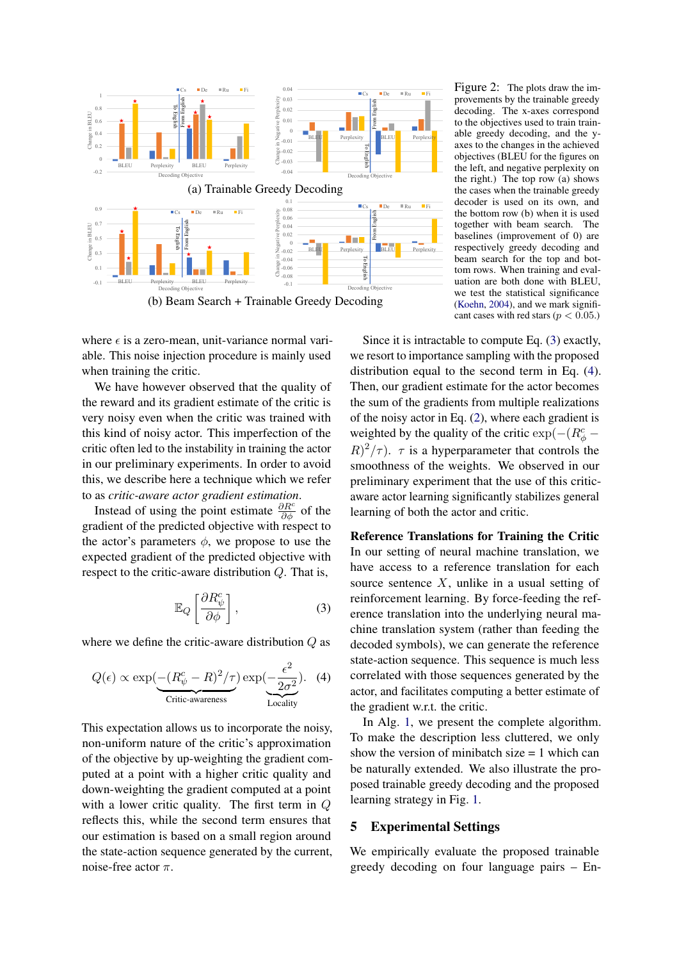

where  $\epsilon$  is a zero-mean, unit-variance normal variable. This noise injection procedure is mainly used when training the critic.

We have however observed that the quality of the reward and its gradient estimate of the critic is very noisy even when the critic was trained with this kind of noisy actor. This imperfection of the critic often led to the instability in training the actor in our preliminary experiments. In order to avoid this, we describe here a technique which we refer to as *critic-aware actor gradient estimation*.

Instead of using the point estimate  $\frac{\partial R^c}{\partial \phi}$  of the gradient of the predicted objective with respect to the actor's parameters  $\phi$ , we propose to use the expected gradient of the predicted objective with respect to the critic-aware distribution  $Q$ . That is,

$$
\mathbb{E}_Q \left[ \frac{\partial R^c_\psi}{\partial \phi} \right],\tag{3}
$$

where we define the critic-aware distribution Q as

$$
Q(\epsilon) \propto \exp\left(\frac{-(R_{\psi}^c - R)^2/\tau}{\text{Critic-awareness}}\right) \exp\left(\frac{\epsilon^2}{2\sigma^2}\right).
$$
 (4)

This expectation allows us to incorporate the noisy, non-uniform nature of the critic's approximation of the objective by up-weighting the gradient computed at a point with a higher critic quality and down-weighting the gradient computed at a point with a lower critic quality. The first term in Q reflects this, while the second term ensures that our estimation is based on a small region around the state-action sequence generated by the current, noise-free actor  $\pi$ .

<span id="page-5-2"></span>Figure 2: The plots draw the improvements by the trainable greedy decoding. The x-axes correspond to the objectives used to train trainable greedy decoding, and the yaxes to the changes in the achieved objectives (BLEU for the figures on the left, and negative perplexity on the right.) The top row (a) shows the cases when the trainable greedy decoder is used on its own, and the bottom row (b) when it is used together with beam search. The baselines (improvement of 0) are respectively greedy decoding and beam search for the top and bottom rows. When training and evaluation are both done with BLEU, we test the statistical significance [\(Koehn,](#page-8-20) [2004\)](#page-8-20), and we mark significant cases with red stars ( $p < 0.05$ .)

Since it is intractable to compute Eq. [\(3\)](#page-5-0) exactly, we resort to importance sampling with the proposed distribution equal to the second term in Eq. [\(4\)](#page-5-1). Then, our gradient estimate for the actor becomes the sum of the gradients from multiple realizations of the noisy actor in Eq. [\(2\)](#page-4-0), where each gradient is weighted by the quality of the critic exp $(-(R^c_{\phi}-\Phi)$  $(R)^2/\tau$ ).  $\tau$  is a hyperparameter that controls the smoothness of the weights. We observed in our preliminary experiment that the use of this criticaware actor learning significantly stabilizes general learning of both the actor and critic.

<span id="page-5-0"></span>Reference Translations for Training the Critic In our setting of neural machine translation, we have access to a reference translation for each source sentence  $X$ , unlike in a usual setting of reinforcement learning. By force-feeding the reference translation into the underlying neural machine translation system (rather than feeding the decoded symbols), we can generate the reference state-action sequence. This sequence is much less correlated with those sequences generated by the actor, and facilitates computing a better estimate of the gradient w.r.t. the critic.

<span id="page-5-1"></span>In Alg. [1,](#page-4-1) we present the complete algorithm. To make the description less cluttered, we only show the version of minibatch size  $= 1$  which can be naturally extended. We also illustrate the proposed trainable greedy decoding and the proposed learning strategy in Fig. [1.](#page-3-0)

## 5 Experimental Settings

We empirically evaluate the proposed trainable greedy decoding on four language pairs – En-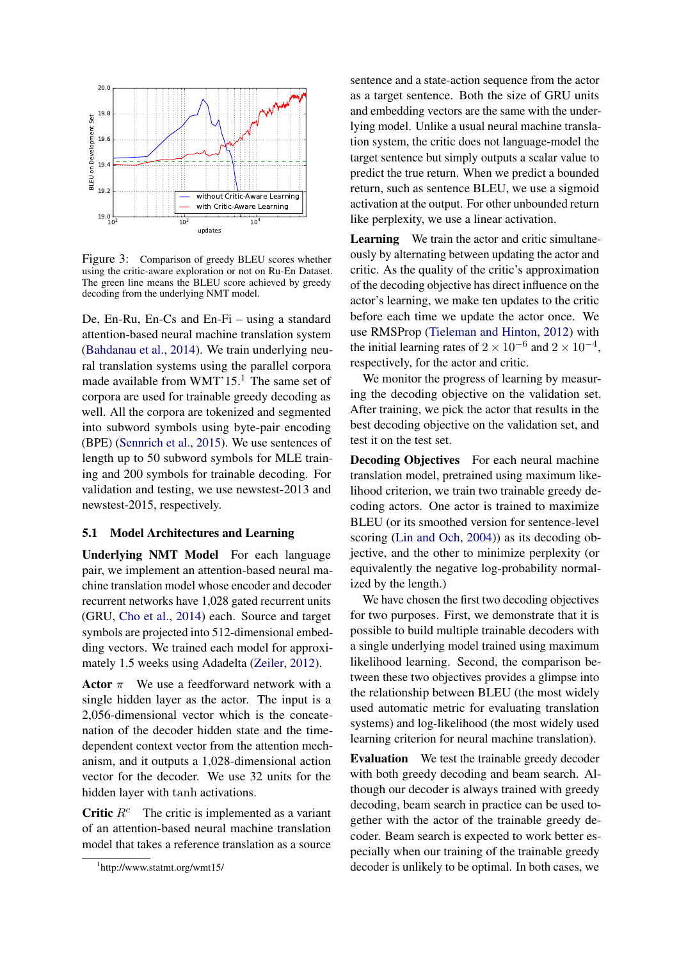

<span id="page-6-1"></span>Figure 3: Comparison of greedy BLEU scores whether using the critic-aware exploration or not on Ru-En Dataset. The green line means the BLEU score achieved by greedy decoding from the underlying NMT model.

De, En-Ru, En-Cs and En-Fi – using a standard attention-based neural machine translation system [\(Bahdanau et al.,](#page-8-9) [2014\)](#page-8-9). We train underlying neural translation systems using the parallel corpora made available from WMT'[1](#page-6-0)5.<sup>1</sup> The same set of corpora are used for trainable greedy decoding as well. All the corpora are tokenized and segmented into subword symbols using byte-pair encoding (BPE) [\(Sennrich et al.,](#page-9-2) [2015\)](#page-9-2). We use sentences of length up to 50 subword symbols for MLE training and 200 symbols for trainable decoding. For validation and testing, we use newstest-2013 and newstest-2015, respectively.

## 5.1 Model Architectures and Learning

Underlying NMT Model For each language pair, we implement an attention-based neural machine translation model whose encoder and decoder recurrent networks have 1,028 gated recurrent units (GRU, [Cho et al.,](#page-8-7) [2014\)](#page-8-7) each. Source and target symbols are projected into 512-dimensional embedding vectors. We trained each model for approximately 1.5 weeks using Adadelta [\(Zeiler,](#page-9-14) [2012\)](#page-9-14).

Actor  $\pi$  We use a feedforward network with a single hidden layer as the actor. The input is a 2,056-dimensional vector which is the concatenation of the decoder hidden state and the timedependent context vector from the attention mechanism, and it outputs a 1,028-dimensional action vector for the decoder. We use 32 units for the hidden layer with tanh activations.

Critic  $R<sup>c</sup>$  The critic is implemented as a variant of an attention-based neural machine translation model that takes a reference translation as a source sentence and a state-action sequence from the actor as a target sentence. Both the size of GRU units and embedding vectors are the same with the underlying model. Unlike a usual neural machine translation system, the critic does not language-model the target sentence but simply outputs a scalar value to predict the true return. When we predict a bounded return, such as sentence BLEU, we use a sigmoid activation at the output. For other unbounded return like perplexity, we use a linear activation.

Learning We train the actor and critic simultaneously by alternating between updating the actor and critic. As the quality of the critic's approximation of the decoding objective has direct influence on the actor's learning, we make ten updates to the critic before each time we update the actor once. We use RMSProp [\(Tieleman and Hinton,](#page-9-15) [2012\)](#page-9-15) with the initial learning rates of  $2 \times 10^{-6}$  and  $2 \times 10^{-4}$ , respectively, for the actor and critic.

We monitor the progress of learning by measuring the decoding objective on the validation set. After training, we pick the actor that results in the best decoding objective on the validation set, and test it on the test set.

Decoding Objectives For each neural machine translation model, pretrained using maximum likelihood criterion, we train two trainable greedy decoding actors. One actor is trained to maximize BLEU (or its smoothed version for sentence-level scoring [\(Lin and Och,](#page-8-21) [2004\)](#page-8-21)) as its decoding objective, and the other to minimize perplexity (or equivalently the negative log-probability normalized by the length.)

We have chosen the first two decoding objectives for two purposes. First, we demonstrate that it is possible to build multiple trainable decoders with a single underlying model trained using maximum likelihood learning. Second, the comparison between these two objectives provides a glimpse into the relationship between BLEU (the most widely used automatic metric for evaluating translation systems) and log-likelihood (the most widely used learning criterion for neural machine translation).

Evaluation We test the trainable greedy decoder with both greedy decoding and beam search. Although our decoder is always trained with greedy decoding, beam search in practice can be used together with the actor of the trainable greedy decoder. Beam search is expected to work better especially when our training of the trainable greedy decoder is unlikely to be optimal. In both cases, we

<span id="page-6-0"></span><sup>1</sup> http://www.statmt.org/wmt15/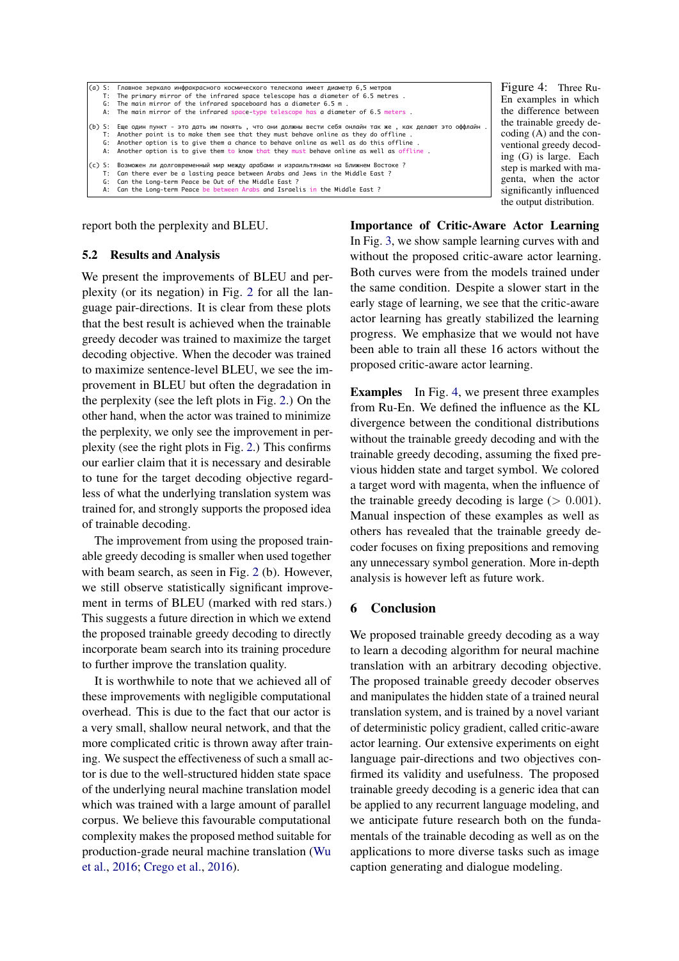```
(a) S: Главное зеркало инфракрасного космического телескопа имеет диаметр 6,5 метров
    T: The primary mirror of the infrared space telescope has a diameter of 6.5 metres \overline{G}. The main mirror of the infrared spaceboard has a diameter 6.5 m.
         The main mirror of the infrared spaceboard has a diameter 6.5 m.
     A: The main mirror of the infrared space-type telescope has a diameter of 6.5 meters .
(b) S: Еще один пункт - это дать им понять , что они должны вести себя онлайн так же , как делают это оффлайн .
          T: Another point is to make them see that they must behave online as they do offline .
    G: Another option is to give them a chance to behave online as well as do this offline
     A: Another option is to give them to know that they must behave online as well as offline .
(c) S: Возможен ли долговременный мир между арабами и израильтянами на Ближнем Востоке ?
 T: Can there ever be a lasting peace between Arabs and Jews in the Middle East ?
    G: Can the Long-term Peace be Out of the Middle East ?<br>A: Can the Long-term Peace be between Arabs and Israel
         Can the Long-term Peace be between Arabs and Israelis in the Middle East ?
```
report both the perplexity and BLEU.

## 5.2 Results and Analysis

We present the improvements of BLEU and perplexity (or its negation) in Fig. [2](#page-5-2) for all the language pair-directions. It is clear from these plots that the best result is achieved when the trainable greedy decoder was trained to maximize the target decoding objective. When the decoder was trained to maximize sentence-level BLEU, we see the improvement in BLEU but often the degradation in the perplexity (see the left plots in Fig. [2.](#page-5-2)) On the other hand, when the actor was trained to minimize the perplexity, we only see the improvement in perplexity (see the right plots in Fig. [2.](#page-5-2)) This confirms our earlier claim that it is necessary and desirable to tune for the target decoding objective regardless of what the underlying translation system was trained for, and strongly supports the proposed idea of trainable decoding.

The improvement from using the proposed trainable greedy decoding is smaller when used together with beam search, as seen in Fig. [2](#page-5-2) (b). However, we still observe statistically significant improvement in terms of BLEU (marked with red stars.) This suggests a future direction in which we extend the proposed trainable greedy decoding to directly incorporate beam search into its training procedure to further improve the translation quality.

It is worthwhile to note that we achieved all of these improvements with negligible computational overhead. This is due to the fact that our actor is a very small, shallow neural network, and that the more complicated critic is thrown away after training. We suspect the effectiveness of such a small actor is due to the well-structured hidden state space of the underlying neural machine translation model which was trained with a large amount of parallel corpus. We believe this favourable computational complexity makes the proposed method suitable for production-grade neural machine translation [\(Wu](#page-9-16) [et al.,](#page-9-16) [2016;](#page-9-16) [Crego et al.,](#page-8-22) [2016\)](#page-8-22).

Importance of Critic-Aware Actor Learning In Fig. [3,](#page-6-1) we show sample learning curves with and without the proposed critic-aware actor learning. Both curves were from the models trained under the same condition. Despite a slower start in the early stage of learning, we see that the critic-aware actor learning has greatly stabilized the learning progress. We emphasize that we would not have been able to train all these 16 actors without the proposed critic-aware actor learning.

Examples In Fig. [4,](#page-7-0) we present three examples from Ru-En. We defined the influence as the KL divergence between the conditional distributions without the trainable greedy decoding and with the trainable greedy decoding, assuming the fixed previous hidden state and target symbol. We colored a target word with magenta, when the influence of the trainable greedy decoding is large  $(> 0.001)$ . Manual inspection of these examples as well as others has revealed that the trainable greedy decoder focuses on fixing prepositions and removing any unnecessary symbol generation. More in-depth analysis is however left as future work.

# 6 Conclusion

We proposed trainable greedy decoding as a way to learn a decoding algorithm for neural machine translation with an arbitrary decoding objective. The proposed trainable greedy decoder observes and manipulates the hidden state of a trained neural translation system, and is trained by a novel variant of deterministic policy gradient, called critic-aware actor learning. Our extensive experiments on eight language pair-directions and two objectives confirmed its validity and usefulness. The proposed trainable greedy decoding is a generic idea that can be applied to any recurrent language modeling, and we anticipate future research both on the fundamentals of the trainable decoding as well as on the applications to more diverse tasks such as image caption generating and dialogue modeling.

<span id="page-7-0"></span>Figure 4: Three Ru-En examples in which the difference between the trainable greedy decoding (A) and the conventional greedy decoding (G) is large. Each step is marked with magenta, when the actor significantly influenced the output distribution.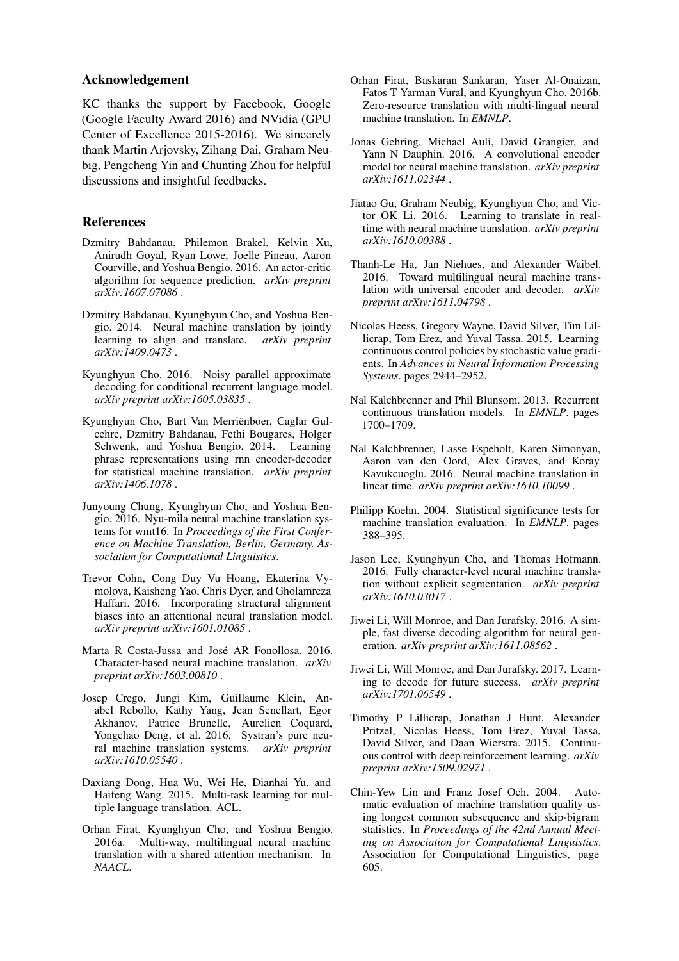## Acknowledgement

KC thanks the support by Facebook, Google (Google Faculty Award 2016) and NVidia (GPU Center of Excellence 2015-2016). We sincerely thank Martin Arjovsky, Zihang Dai, Graham Neubig, Pengcheng Yin and Chunting Zhou for helpful discussions and insightful feedbacks.

## References

- <span id="page-8-13"></span>Dzmitry Bahdanau, Philemon Brakel, Kelvin Xu, Anirudh Goyal, Ryan Lowe, Joelle Pineau, Aaron Courville, and Yoshua Bengio. 2016. An actor-critic algorithm for sequence prediction. *arXiv preprint arXiv:1607.07086* .
- <span id="page-8-9"></span>Dzmitry Bahdanau, Kyunghyun Cho, and Yoshua Bengio. 2014. Neural machine translation by jointly learning to align and translate. *arXiv preprint arXiv:1409.0473* .
- <span id="page-8-14"></span>Kyunghyun Cho. 2016. Noisy parallel approximate decoding for conditional recurrent language model. *arXiv preprint arXiv:1605.03835* .
- <span id="page-8-7"></span>Kyunghyun Cho, Bart Van Merriënboer, Caglar Gulcehre, Dzmitry Bahdanau, Fethi Bougares, Holger Schwenk, and Yoshua Bengio. 2014. Learning phrase representations using rnn encoder-decoder for statistical machine translation. *arXiv preprint arXiv:1406.1078* .
- <span id="page-8-0"></span>Junyoung Chung, Kyunghyun Cho, and Yoshua Bengio. 2016. Nyu-mila neural machine translation systems for wmt16. In *Proceedings of the First Conference on Machine Translation, Berlin, Germany. Association for Computational Linguistics*.
- <span id="page-8-10"></span>Trevor Cohn, Cong Duy Vu Hoang, Ekaterina Vymolova, Kaisheng Yao, Chris Dyer, and Gholamreza Haffari. 2016. Incorporating structural alignment biases into an attentional neural translation model. *arXiv preprint arXiv:1601.01085* .
- <span id="page-8-2"></span>Marta R Costa-Jussa and José AR Fonollosa. 2016. Character-based neural machine translation. *arXiv preprint arXiv:1603.00810* .
- <span id="page-8-22"></span>Josep Crego, Jungi Kim, Guillaume Klein, Anabel Rebollo, Kathy Yang, Jean Senellart, Egor Akhanov, Patrice Brunelle, Aurelien Coquard, Yongchao Deng, et al. 2016. Systran's pure neural machine translation systems. *arXiv preprint arXiv:1610.05540* .
- <span id="page-8-3"></span>Daxiang Dong, Hua Wu, Wei He, Dianhai Yu, and Haifeng Wang. 2015. Multi-task learning for multiple language translation. ACL.
- <span id="page-8-4"></span>Orhan Firat, Kyunghyun Cho, and Yoshua Bengio. 2016a. Multi-way, multilingual neural machine translation with a shared attention mechanism. In *NAACL*.
- <span id="page-8-5"></span>Orhan Firat, Baskaran Sankaran, Yaser Al-Onaizan, Fatos T Yarman Vural, and Kyunghyun Cho. 2016b. Zero-resource translation with multi-lingual neural machine translation. In *EMNLP*.
- <span id="page-8-12"></span>Jonas Gehring, Michael Auli, David Grangier, and Yann N Dauphin. 2016. A convolutional encoder model for neural machine translation. *arXiv preprint arXiv:1611.02344* .
- <span id="page-8-16"></span>Jiatao Gu, Graham Neubig, Kyunghyun Cho, and Victor OK Li. 2016. Learning to translate in realtime with neural machine translation. *arXiv preprint arXiv:1610.00388* .
- <span id="page-8-6"></span>Thanh-Le Ha, Jan Niehues, and Alexander Waibel. 2016. Toward multilingual neural machine translation with universal encoder and decoder. *arXiv preprint arXiv:1611.04798* .
- <span id="page-8-19"></span>Nicolas Heess, Gregory Wayne, David Silver, Tim Lillicrap, Tom Erez, and Yuval Tassa. 2015. Learning continuous control policies by stochastic value gradients. In *Advances in Neural Information Processing Systems*. pages 2944–2952.
- <span id="page-8-8"></span>Nal Kalchbrenner and Phil Blunsom. 2013. Recurrent continuous translation models. In *EMNLP*. pages 1700–1709.
- <span id="page-8-11"></span>Nal Kalchbrenner, Lasse Espeholt, Karen Simonyan, Aaron van den Oord, Alex Graves, and Koray Kavukcuoglu. 2016. Neural machine translation in linear time. *arXiv preprint arXiv:1610.10099* .
- <span id="page-8-20"></span>Philipp Koehn. 2004. Statistical significance tests for machine translation evaluation. In *EMNLP*. pages 388–395.
- <span id="page-8-1"></span>Jason Lee, Kyunghyun Cho, and Thomas Hofmann. 2016. Fully character-level neural machine translation without explicit segmentation. *arXiv preprint arXiv:1610.03017* .
- <span id="page-8-15"></span>Jiwei Li, Will Monroe, and Dan Jurafsky. 2016. A simple, fast diverse decoding algorithm for neural generation. *arXiv preprint arXiv:1611.08562* .
- <span id="page-8-17"></span>Jiwei Li, Will Monroe, and Dan Jurafsky. 2017. Learning to decode for future success. *arXiv preprint arXiv:1701.06549* .
- <span id="page-8-18"></span>Timothy P Lillicrap, Jonathan J Hunt, Alexander Pritzel, Nicolas Heess, Tom Erez, Yuval Tassa, David Silver, and Daan Wierstra. 2015. Continuous control with deep reinforcement learning. *arXiv preprint arXiv:1509.02971* .
- <span id="page-8-21"></span>Chin-Yew Lin and Franz Josef Och. 2004. Automatic evaluation of machine translation quality using longest common subsequence and skip-bigram statistics. In *Proceedings of the 42nd Annual Meeting on Association for Computational Linguistics*. Association for Computational Linguistics, page 605.